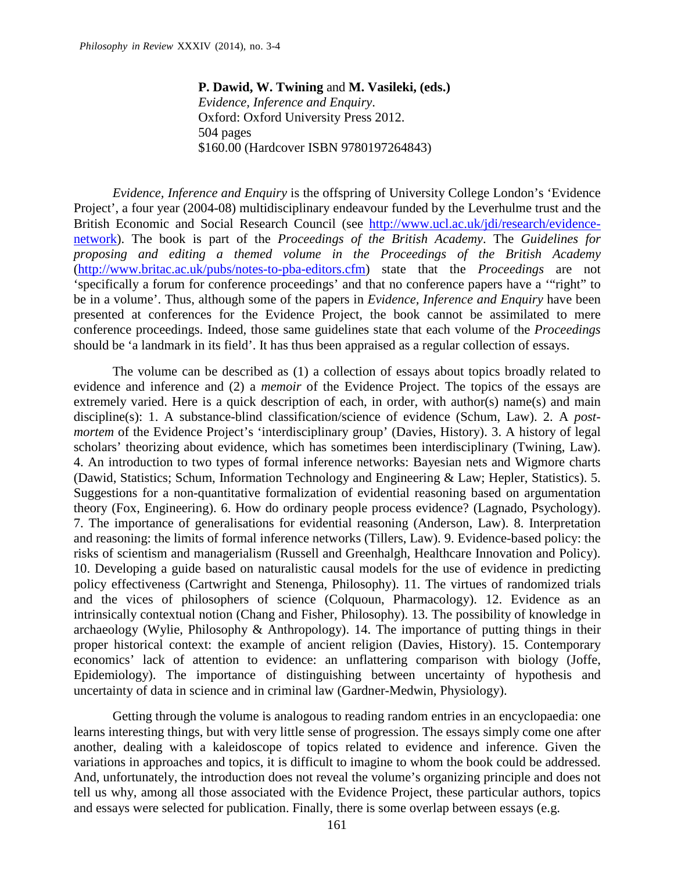**P. Dawid, W. Twining** and **M. Vasileki, (eds.)** *Evidence, Inference and Enquiry*. Oxford: Oxford University Press 2012. 504 pages \$160.00 (Hardcover ISBN 9780197264843)

*Evidence, Inference and Enquiry* is the offspring of University College London's 'Evidence Project', a four year (2004-08) multidisciplinary endeavour funded by the Leverhulme trust and the British Economic and Social Research Council (see [http://www.ucl.ac.uk/jdi/research/evidence](http://www.ucl.ac.uk/jdi/research/evidence-network)[network\)](http://www.ucl.ac.uk/jdi/research/evidence-network). The book is part of the *Proceedings of the British Academy*. The *Guidelines for proposing and editing a themed volume in the Proceedings of the British Academy* [\(http://www.britac.ac.uk/pubs/notes-to-pba-editors.cfm\)](http://www.britac.ac.uk/pubs/notes-to-pba-editors.cfm) state that the *Proceedings* are not 'specifically a forum for conference proceedings' and that no conference papers have a '"right" to be in a volume'. Thus, although some of the papers in *Evidence, Inference and Enquiry* have been presented at conferences for the Evidence Project, the book cannot be assimilated to mere conference proceedings. Indeed, those same guidelines state that each volume of the *Proceedings*  should be 'a landmark in its field'. It has thus been appraised as a regular collection of essays.

The volume can be described as (1) a collection of essays about topics broadly related to evidence and inference and (2) a *memoir* of the Evidence Project. The topics of the essays are extremely varied. Here is a quick description of each, in order, with author(s) name(s) and main discipline(s): 1. A substance-blind classification/science of evidence (Schum, Law). 2. A *postmortem* of the Evidence Project's 'interdisciplinary group' (Davies, History). 3. A history of legal scholars' theorizing about evidence, which has sometimes been interdisciplinary (Twining, Law). 4. An introduction to two types of formal inference networks: Bayesian nets and Wigmore charts (Dawid, Statistics; Schum, Information Technology and Engineering & Law; Hepler, Statistics). 5. Suggestions for a non-quantitative formalization of evidential reasoning based on argumentation theory (Fox, Engineering). 6. How do ordinary people process evidence? (Lagnado, Psychology). 7. The importance of generalisations for evidential reasoning (Anderson, Law). 8. Interpretation and reasoning: the limits of formal inference networks (Tillers, Law). 9. Evidence-based policy: the risks of scientism and managerialism (Russell and Greenhalgh, Healthcare Innovation and Policy). 10. Developing a guide based on naturalistic causal models for the use of evidence in predicting policy effectiveness (Cartwright and Stenenga, Philosophy). 11. The virtues of randomized trials and the vices of philosophers of science (Colquoun, Pharmacology). 12. Evidence as an intrinsically contextual notion (Chang and Fisher, Philosophy). 13. The possibility of knowledge in archaeology (Wylie, Philosophy & Anthropology). 14. The importance of putting things in their proper historical context: the example of ancient religion (Davies, History). 15. Contemporary economics' lack of attention to evidence: an unflattering comparison with biology (Joffe, Epidemiology). The importance of distinguishing between uncertainty of hypothesis and uncertainty of data in science and in criminal law (Gardner-Medwin, Physiology).

Getting through the volume is analogous to reading random entries in an encyclopaedia: one learns interesting things, but with very little sense of progression. The essays simply come one after another, dealing with a kaleidoscope of topics related to evidence and inference. Given the variations in approaches and topics, it is difficult to imagine to whom the book could be addressed. And, unfortunately, the introduction does not reveal the volume's organizing principle and does not tell us why, among all those associated with the Evidence Project, these particular authors, topics and essays were selected for publication. Finally, there is some overlap between essays (e.g.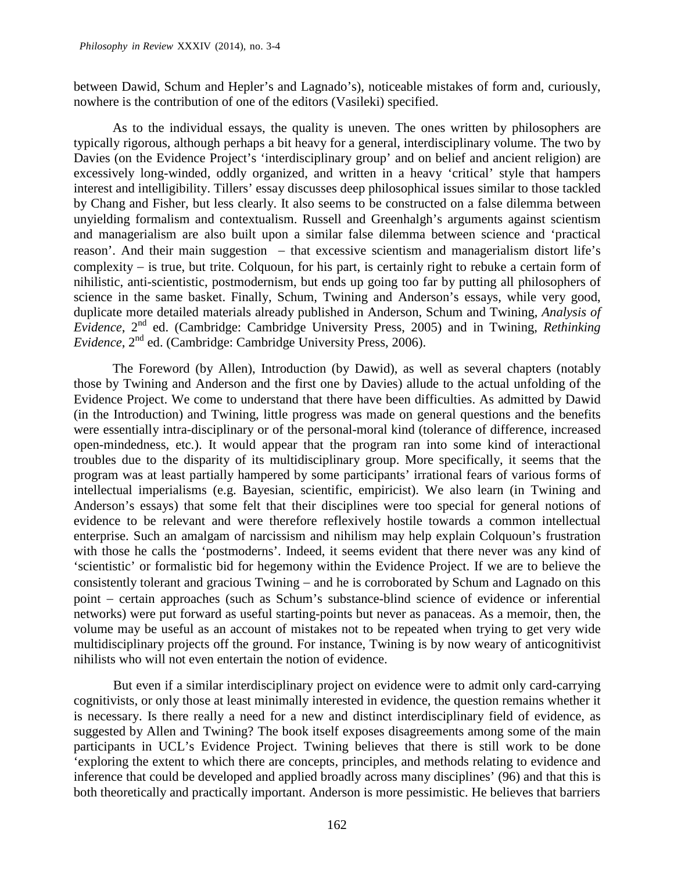between Dawid, Schum and Hepler's and Lagnado's), noticeable mistakes of form and, curiously, nowhere is the contribution of one of the editors (Vasileki) specified.

As to the individual essays, the quality is uneven. The ones written by philosophers are typically rigorous, although perhaps a bit heavy for a general, interdisciplinary volume. The two by Davies (on the Evidence Project's 'interdisciplinary group' and on belief and ancient religion) are excessively long-winded, oddly organized, and written in a heavy 'critical' style that hampers interest and intelligibility. Tillers' essay discusses deep philosophical issues similar to those tackled by Chang and Fisher, but less clearly. It also seems to be constructed on a false dilemma between unyielding formalism and contextualism. Russell and Greenhalgh's arguments against scientism and managerialism are also built upon a similar false dilemma between science and 'practical reason'. And their main suggestion – that excessive scientism and managerialism distort life's complexity − is true, but trite. Colquoun, for his part, is certainly right to rebuke a certain form of nihilistic, anti-scientistic, postmodernism, but ends up going too far by putting all philosophers of science in the same basket. Finally, Schum, Twining and Anderson's essays, while very good, duplicate more detailed materials already published in Anderson, Schum and Twining, *Analysis of Evidence*, 2nd ed. (Cambridge: Cambridge University Press, 2005) and in Twining, *Rethinking Evidence*, 2nd ed. (Cambridge: Cambridge University Press, 2006).

The Foreword (by Allen), Introduction (by Dawid), as well as several chapters (notably those by Twining and Anderson and the first one by Davies) allude to the actual unfolding of the Evidence Project. We come to understand that there have been difficulties. As admitted by Dawid (in the Introduction) and Twining, little progress was made on general questions and the benefits were essentially intra-disciplinary or of the personal-moral kind (tolerance of difference, increased open-mindedness, etc.). It would appear that the program ran into some kind of interactional troubles due to the disparity of its multidisciplinary group. More specifically, it seems that the program was at least partially hampered by some participants' irrational fears of various forms of intellectual imperialisms (e.g. Bayesian, scientific, empiricist). We also learn (in Twining and Anderson's essays) that some felt that their disciplines were too special for general notions of evidence to be relevant and were therefore reflexively hostile towards a common intellectual enterprise. Such an amalgam of narcissism and nihilism may help explain Colquoun's frustration with those he calls the 'postmoderns'. Indeed, it seems evident that there never was any kind of 'scientistic' or formalistic bid for hegemony within the Evidence Project. If we are to believe the consistently tolerant and gracious Twining − and he is corroborated by Schum and Lagnado on this point − certain approaches (such as Schum's substance-blind science of evidence or inferential networks) were put forward as useful starting-points but never as panaceas. As a memoir, then, the volume may be useful as an account of mistakes not to be repeated when trying to get very wide multidisciplinary projects off the ground. For instance, Twining is by now weary of anticognitivist nihilists who will not even entertain the notion of evidence.

But even if a similar interdisciplinary project on evidence were to admit only card-carrying cognitivists, or only those at least minimally interested in evidence, the question remains whether it is necessary. Is there really a need for a new and distinct interdisciplinary field of evidence, as suggested by Allen and Twining? The book itself exposes disagreements among some of the main participants in UCL's Evidence Project. Twining believes that there is still work to be done 'exploring the extent to which there are concepts, principles, and methods relating to evidence and inference that could be developed and applied broadly across many disciplines' (96) and that this is both theoretically and practically important. Anderson is more pessimistic. He believes that barriers